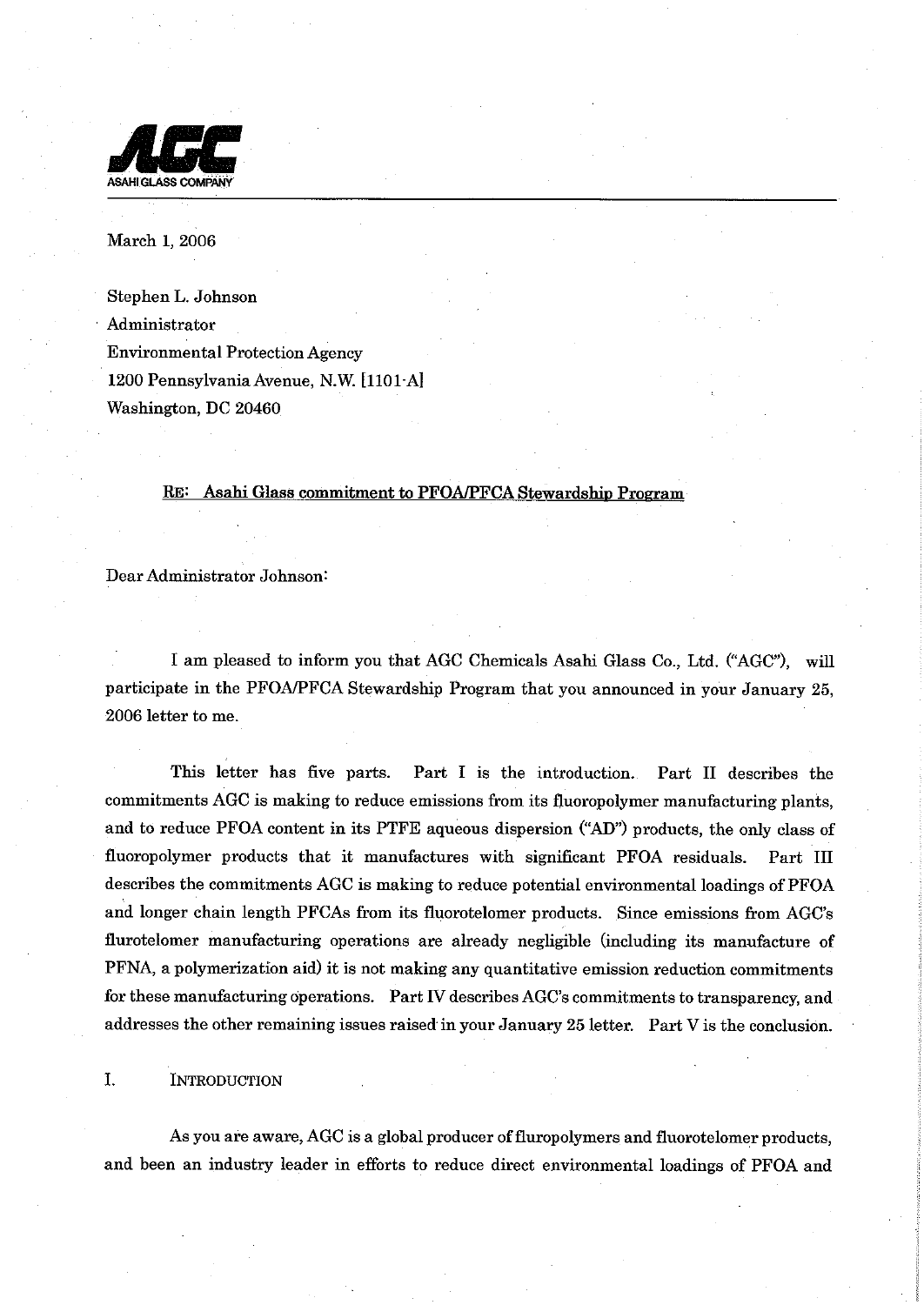

March 1, 2006

Stephen L. Johnson Administrator Environmental Protection Agency 1200 Pennsylvania Avenue, N.W. [1101-A] Washington, DC 20460

#### RE: Asahi Glass commitment to PFOA/PFCA Stewards hip Program

Dear Administrator Johnson:

I am pleased to inform you that AGC Chemicals Asahi Glass Co., Ltd. ("AGC"), will participate in the PFOMFCA Stewardship Program that you announced in your January 25, 2006 letter to me.

This letter has five parts. Part I is the introduction. Part **I1** describes the commitments AGC is making to reduce emissions from its fluoropolymer manufacturing plants, and to reduce PFOA content in its PTFE aqueous dispersion **("AD")** products, the only class of fluoropolymer products that it manufactures with significant PFOA residuals. Part **I11**  describes the commitments AGC is making to reduce potential environmental loadings of PFOA and longer chain length PFCAs from its fluorotelomer products. Since emissions from AGC's flurotelomer manufacturing operations are already negligible (including its manufacture of PFNA, a polymerization aid) it is not making any quantitative emission reduction commitments for these manufacturing operations. Part IV describes AGC's commitments to transparency, and addresses the other remaining issues raised in your January 25 letter. Part V is the conclusion.

I. **INTRODUCTION** 

As you are aware, AGC is a global producer of fluropolymers and fluorotelomer products, and been an industry leader in efforts to reduce direct environmental loadings of PFOA and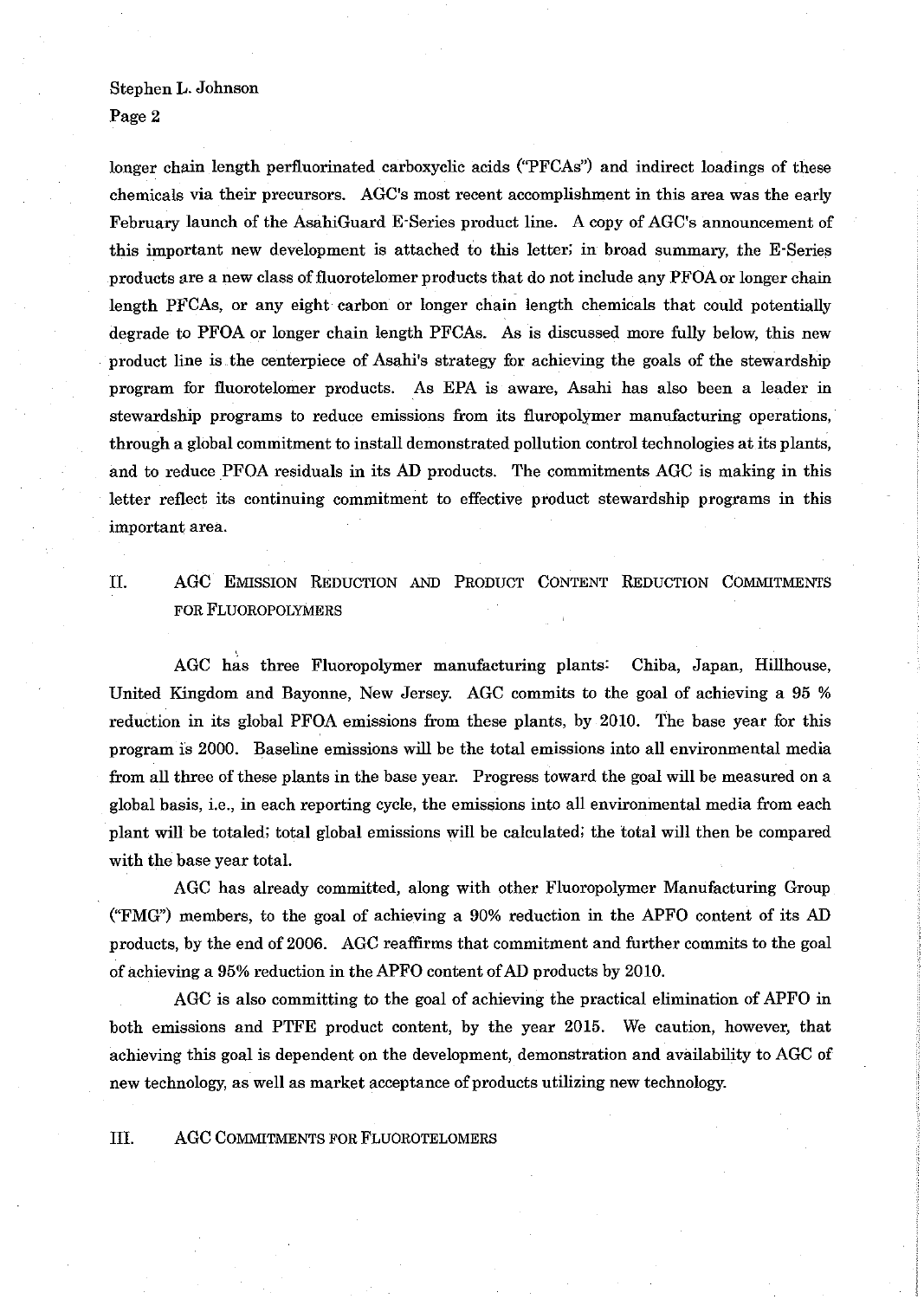## Stephen L. Johnson

Page 2

longer chain length perfluorinated carboxyclic acids ("PFCAs") and indirect loadings of these chemicals via their precursors. AGC's most recent accomplishment in this area was the early February launch of the AsahiGuard E-Series product line. A copy of AGC's announcement of this important new development is attached to this letter; in broad summary, the E-Series products are a new class of fluorotelomer products that do not include any PFOAor longer chain length PFCAs, or any eight carbon or longer chain length chemicals that could potentially degrade to PFOA or longer chain length PFCAs. As is discussed more fully below, this new product line is the centerpiece of Asahi's strategy for achieving the goals of the stewardship program for fluorotelomer products. As EPA is aware, Asahi has also been a leader in stewardship programs to reduce emissions from its fluropolymer manufacturing operations, through a global commitment to install demonstrated pollution control technologies at its plants, and to reduce PFOA residuals in its AD products. The commitments AGC is making in this letter reflect its continuing commitment to effective product stewardship programs in this important area.

11. AGC EMISSION REDUCTION AND PRODUCT CONTENT REDUCTION COMMITMENTS FOR FLUOROPOLYMERS

AGC has three Fluoropolymer manufacturing plants: Chiba, Japan, Hillhouse, United Kingdom and Bayonne, New Jersey. AGC commits to the goal of achieving a **95** % reduction in its global PFOA emissions from these plants, by 2010. The base year for this program is 2000. Baseline emissions will be the total emissions into all environmental media from all three of these plants in the base year. Progress toward the goal will be measured on a global basis, i.e., in each reporting cycle, the emissions into all environmental media from each plant will be totaled; total global emissions will be calculated; the total will then be compared with the base year total.

AGC has already committed, along with other Fluoropolymer Manufacturing Group ("FMG") members, to the goal of achieving a 90% reduction in the APFO content of its AD products, by the end of 2006. AGC reaffirms that commitment and further commits to the goal of achieving a **95%**reduction in the APFO content ofAD products by 2010.

AGC is also committing to the goal of achieving the practical elimination of APFO in both emissions and PTFE product content, by the year 2015. We caution, however, that achieving this goal is dependent on the development, demonstration and availability to AGC of new technology, as well as market acceptance of products utilizing new technology.

111. AGC COMMITMENTS FOR FLUOROTELOMERS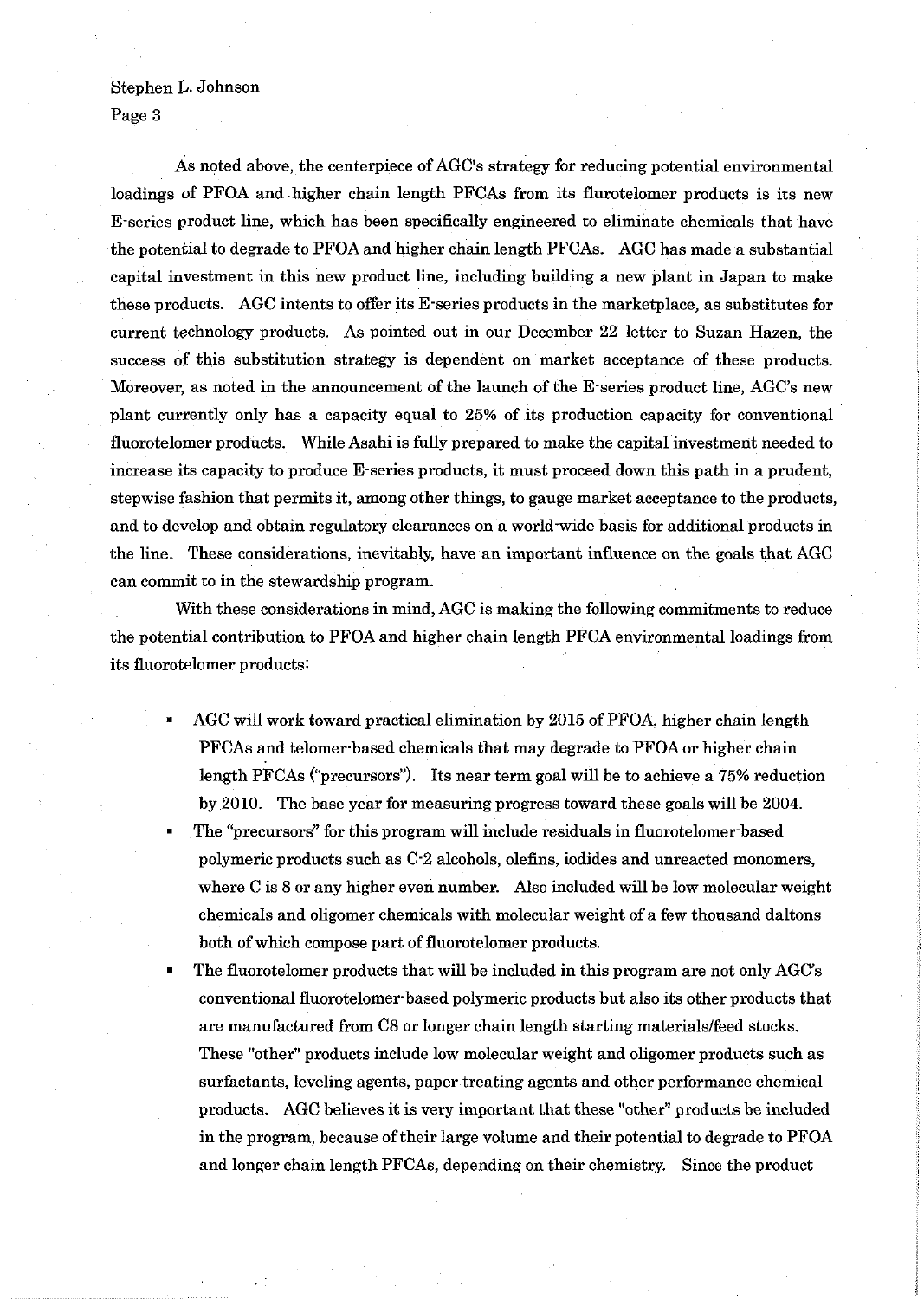### Stephen L. Johnson

Page **3** 

As noted above, the centerpiece of AGC's strategy for reducing potential environmental loadings of PFOA and higher chain length PFCAs from its flurotelomer products is its new E-series product line, which has been specifically engineered to eliminate chemicals that have the potential to degrade to PFOA and higher chain length PFCAs. AGC has made a substantial capital investment in this new product line, including building a new plant in Japan to make these products. AGC intents to offer its E-series products in the marketplace, as substitutes for current technology products. As pointed out in our December 22 letter to Suzan Hazen, the success of this substitution strategy is dependent on market acceptance of these products. Moreover, as noted in the announcement of the launch of the E-series product line, AGC's new plant currently only has a capacity equal to 25% of its production capacity for conventional fluorotelomer products. While Asahi is fully prepared to make the capital investment needed to increase its capacity to produce E-series products, it must proceed down this path in a prudent, stepwise fashion that permits it, among other things, to gauge market acceptance to the products, and to develop and obtain regulatory clearances on a world-wide basis for additional products in the line. These considerations, inevitably, have an important influence on the goals that AGC can commit to in the stewardship program.

With these considerations in mind, AGC is making the following commitments to reduce the potential contribution to PFOA and higher chain length PFCA environmental loadings from its fluorotelomer products:

- AGC will work toward practical elimination by 2015 of PFOA, higher chain length PFCAs and telomer based chemicals that may degrade to PFOA or higher chain length PFCAs (''precursors"). Its near term goal will be to achieve a 75% reduction by 2010. The base year for measuring progress toward these goals will be 2004.
- The "precursors" for this program will include residuals in fluorotelomerbased polymeric products such as C-2 alcohols, olefins, iodides and unreacted monomers, where C is 8 or any higher even number. Also included will be low molecular weight chemicals and oligomer chemicals with molecular weight of a few thousand daltons both of which compose part of fluorotelomer products.
- The fluorotelomer products that will be included in this program are not only AGC's conventional fluorotelomer-based polymeric products but also its other products that are manufactured from C8 or longer chain length starting materialslfeed stocks. These "other" products include low molecular weight and oligomer products such as surfactants, leveling agents, paper treating agents and other performance chemical products. AGC believes it is very important that these "other" products be included in the program, because of their large volume and their potential to degrade to PFOA and longer chain length PFCAs, depending on their chemistry. Since the product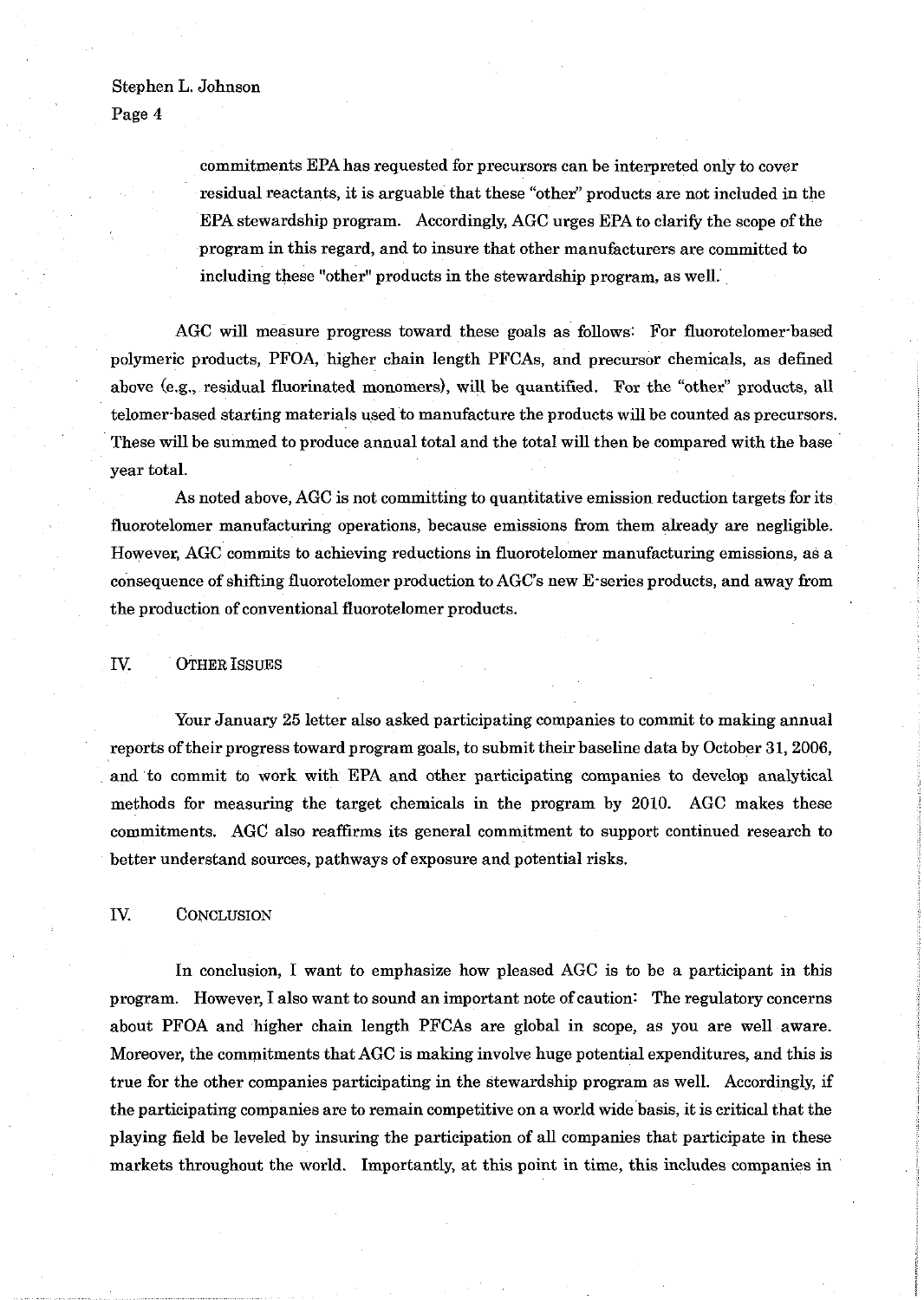### Stephen L. Johnson

Page 4

commitments EPA has requested for precursors can be interpreted only to cover residual reactants, it is arguable that these "other" products are not included in the EPA stewardship program. Accordingly, AGC urges EPA to clarify the scope of the program in this regard, and to insure that other manufacturers are committed to including these "other" products in the stewardship program, as well.

AGC will measure progress toward these goals as follows: For fluorotelomer-based polymeric products, PFOA, higher chain length PFCAs, and precursor chemicals, as defined above (e.g., residual fluorinated monomers), will be quantified. For the "other" products, all telomer-based starting materials used to manufacture the products will be counted as precursors. These will be summed to produce annual total and the total will then be compared with the base year total.

As noted above, AGC is not committing to quantitative emission reduction targets for its fluorotelomer manufacturing operations, because emissions from them already are negligible. However, AGC commits to achieving reductions in fluorotelomer manufacturing emissions, as a consequence of shifting fluorotelomer production to AGC's new E-series products, and away from the production of conventional fluorotelomer products.

IV. OTHER ISSUES

Your January 25 letter also asked participating companies to commit to making annual reports of their progress toward program goals, to submit their baseline data by October 31,2006, and to commit to work with EPA and other participating companies to develop analytical methods for measuring the target chemicals in the program by 2010. AGC makes these commitments. AGC also reaffirms its general commitment to support continued research to better understand sources, pathways of exposure and potential risks.

IV. CONCLUSION

In conclusion, I want to emphasize how pleased AGC is to be a participant in this program. However, I also want to sound an important note of caution: The regulatory concerns about PFOA and higher chain length PFCAs are global in scope, as you are well aware. Moreover, the commitments that AGC is making involve huge potential expenditures, and this is true for the other companies participating in the stewardship program as well. Accordingly, if the participating companies are to remain competitive on a world wide basis, it is critical that the playing field be leveled by insuring the participation of all companies that participate in these markets throughout the world. Importantly, at this point in time, this includes companies in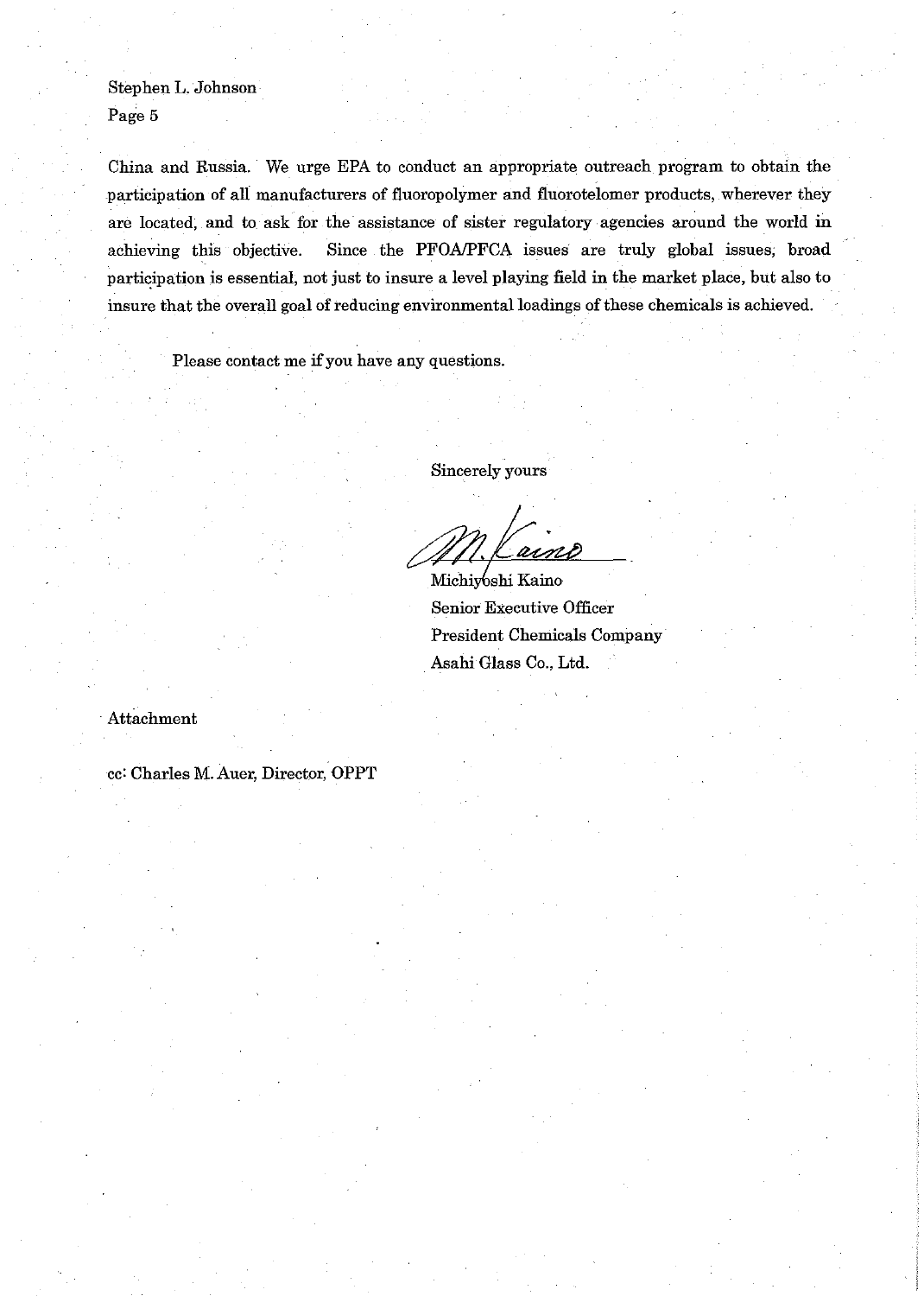Stephen L. Johnson Page 5

China and Russia. We urge EPA to conduct an appropriate outreach program to obtain the participation of all manufacturers of fluoropolymer and fluorotelomer products, wherever they are located, and to ask for the assistance of sister regulatory agencies around the world in achieving this objective. Since the PFOAPFCA issues are truly global issues, broad participation is essential, not just to insure a level playing field in the market place, but also to insure that the overall goal of reducing environmental loadings of these chemicals is achieved.

Please contact me if you have any questions.

Sincerely yours

ains

Michiyoshi Kaino Senior Executive Officer President Chemicals Company Asahi Glass Co., Ltd.

Attachment

cc: Charles M. Auer, Director, OPPT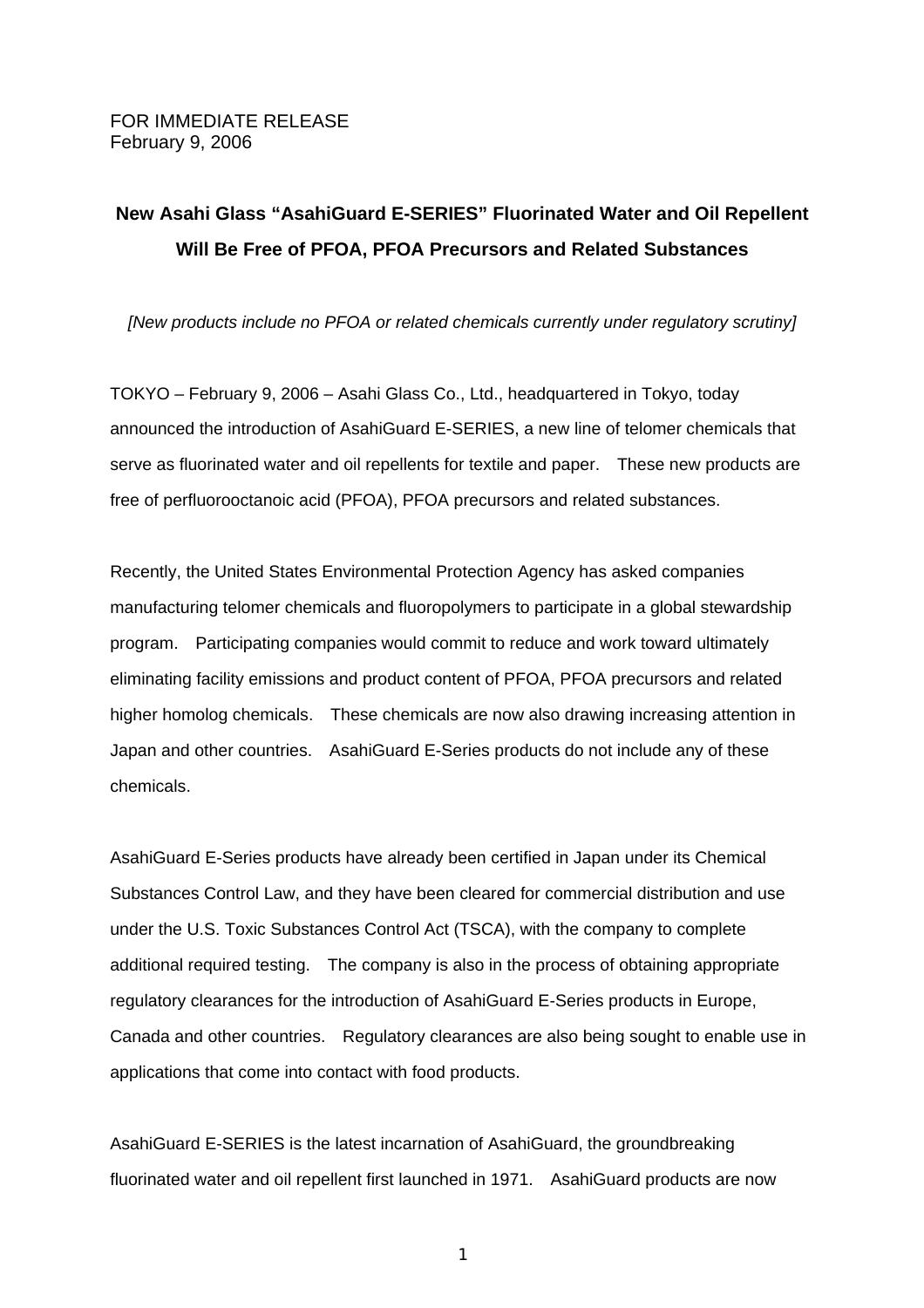# **New Asahi Glass "AsahiGuard E-SERIES" Fluorinated Water and Oil Repellent Will Be Free of PFOA, PFOA Precursors and Related Substances**

*[New products include no PFOA or related chemicals currently under regulatory scrutiny]* 

TOKYO – February 9, 2006 – Asahi Glass Co., Ltd., headquartered in Tokyo, today announced the introduction of AsahiGuard E-SERIES, a new line of telomer chemicals that serve as fluorinated water and oil repellents for textile and paper. These new products are free of perfluorooctanoic acid (PFOA), PFOA precursors and related substances.

Recently, the United States Environmental Protection Agency has asked companies manufacturing telomer chemicals and fluoropolymers to participate in a global stewardship program. Participating companies would commit to reduce and work toward ultimately eliminating facility emissions and product content of PFOA, PFOA precursors and related higher homolog chemicals. These chemicals are now also drawing increasing attention in Japan and other countries. AsahiGuard E-Series products do not include any of these chemicals.

AsahiGuard E-Series products have already been certified in Japan under its Chemical Substances Control Law, and they have been cleared for commercial distribution and use under the U.S. Toxic Substances Control Act (TSCA), with the company to complete additional required testing. The company is also in the process of obtaining appropriate regulatory clearances for the introduction of AsahiGuard E-Series products in Europe, Canada and other countries. Regulatory clearances are also being sought to enable use in applications that come into contact with food products.

AsahiGuard E-SERIES is the latest incarnation of AsahiGuard, the groundbreaking fluorinated water and oil repellent first launched in 1971. AsahiGuard products are now

 $\sim$  1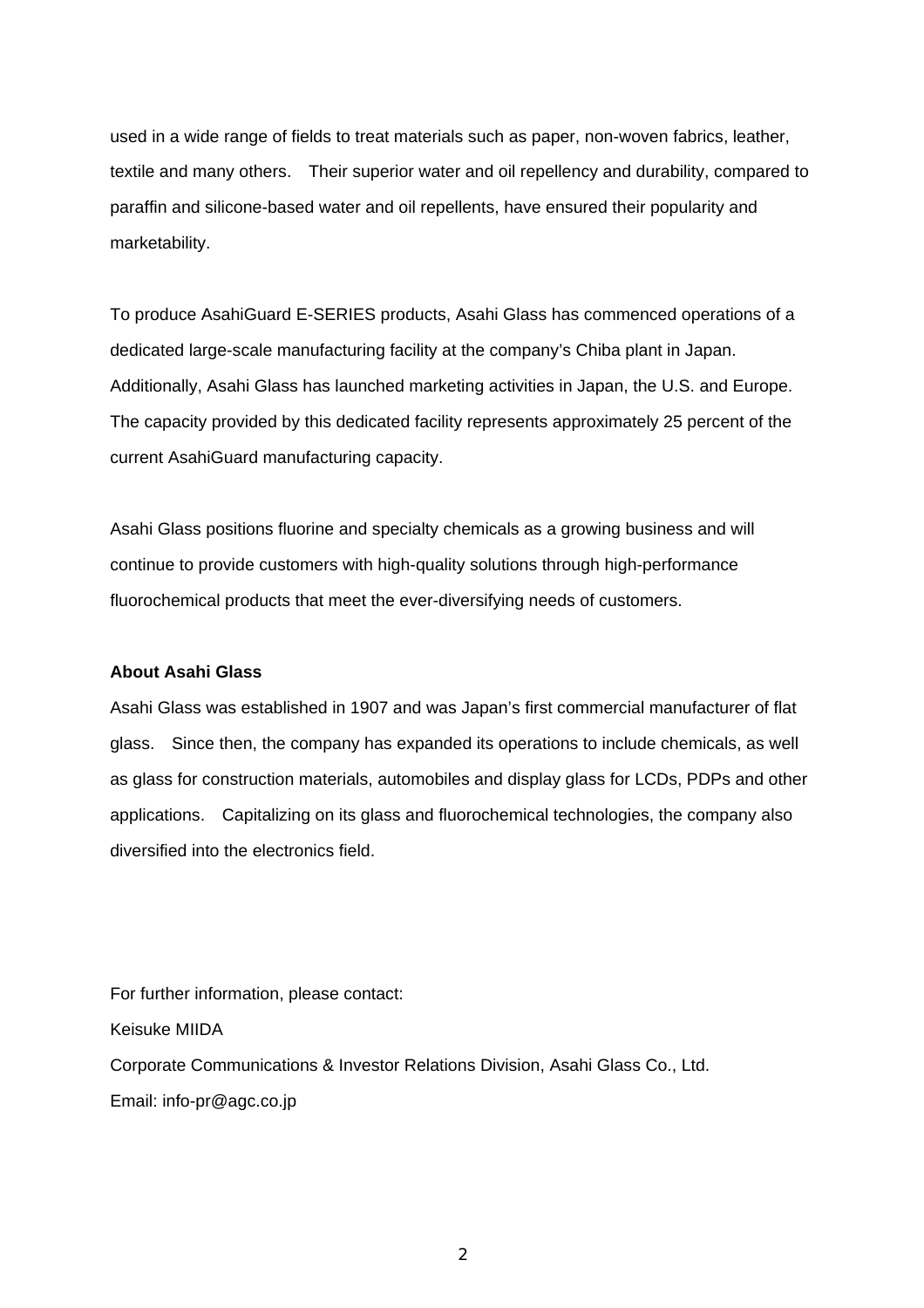used in a wide range of fields to treat materials such as paper, non-woven fabrics, leather, textile and many others. Their superior water and oil repellency and durability, compared to paraffin and silicone-based water and oil repellents, have ensured their popularity and marketability.

To produce AsahiGuard E-SERIES products, Asahi Glass has commenced operations of a dedicated large-scale manufacturing facility at the company's Chiba plant in Japan. Additionally, Asahi Glass has launched marketing activities in Japan, the U.S. and Europe. The capacity provided by this dedicated facility represents approximately 25 percent of the current AsahiGuard manufacturing capacity.

Asahi Glass positions fluorine and specialty chemicals as a growing business and will continue to provide customers with high-quality solutions through high-performance fluorochemical products that meet the ever-diversifying needs of customers.

### **About Asahi Glass**

Asahi Glass was established in 1907 and was Japan's first commercial manufacturer of flat glass. Since then, the company has expanded its operations to include chemicals, as well as glass for construction materials, automobiles and display glass for LCDs, PDPs and other applications. Capitalizing on its glass and fluorochemical technologies, the company also diversified into the electronics field.

For further information, please contact: Keisuke MIIDA Corporate Communications & Investor Relations Division, Asahi Glass Co., Ltd. Email: info-pr@agc.co.jp